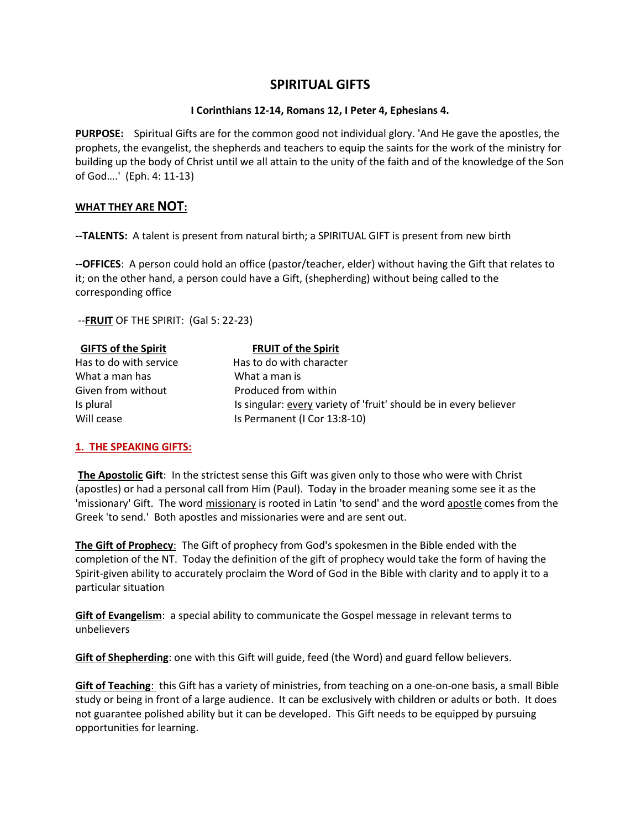# SPIRITUAL GIFTS

#### I Corinthians 12-14, Romans 12, I Peter 4, Ephesians 4.

PURPOSE: Spiritual Gifts are for the common good not individual glory. 'And He gave the apostles, the prophets, the evangelist, the shepherds and teachers to equip the saints for the work of the ministry for building up the body of Christ until we all attain to the unity of the faith and of the knowledge of the Son of God….' (Eph. 4: 11-13)

## WHAT THEY ARE NOT:

-- TALENTS: A talent is present from natural birth; a SPIRITUAL GIFT is present from new birth

--OFFICES: A person could hold an office (pastor/teacher, elder) without having the Gift that relates to it; on the other hand, a person could have a Gift, (shepherding) without being called to the corresponding office

--**FRUIT** OF THE SPIRIT: (Gal 5: 22-23)

| <b>GIFTS of the Spirit</b> | <b>FRUIT of the Spirit</b>                                        |
|----------------------------|-------------------------------------------------------------------|
| Has to do with service     | Has to do with character                                          |
| What a man has             | What a man is                                                     |
| Given from without         | Produced from within                                              |
| Is plural                  | Is singular: every variety of 'fruit' should be in every believer |
| Will cease                 | Is Permanent (I Cor 13:8-10)                                      |

#### 1. THE SPEAKING GIFTS:

The Apostolic Gift: In the strictest sense this Gift was given only to those who were with Christ (apostles) or had a personal call from Him (Paul). Today in the broader meaning some see it as the 'missionary' Gift. The word missionary is rooted in Latin 'to send' and the word apostle comes from the Greek 'to send.' Both apostles and missionaries were and are sent out.

The Gift of Prophecy: The Gift of prophecy from God's spokesmen in the Bible ended with the completion of the NT. Today the definition of the gift of prophecy would take the form of having the Spirit-given ability to accurately proclaim the Word of God in the Bible with clarity and to apply it to a particular situation

Gift of Evangelism: a special ability to communicate the Gospel message in relevant terms to unbelievers

Gift of Shepherding: one with this Gift will guide, feed (the Word) and guard fellow believers.

Gift of Teaching: this Gift has a variety of ministries, from teaching on a one-on-one basis, a small Bible study or being in front of a large audience. It can be exclusively with children or adults or both. It does not guarantee polished ability but it can be developed. This Gift needs to be equipped by pursuing opportunities for learning.